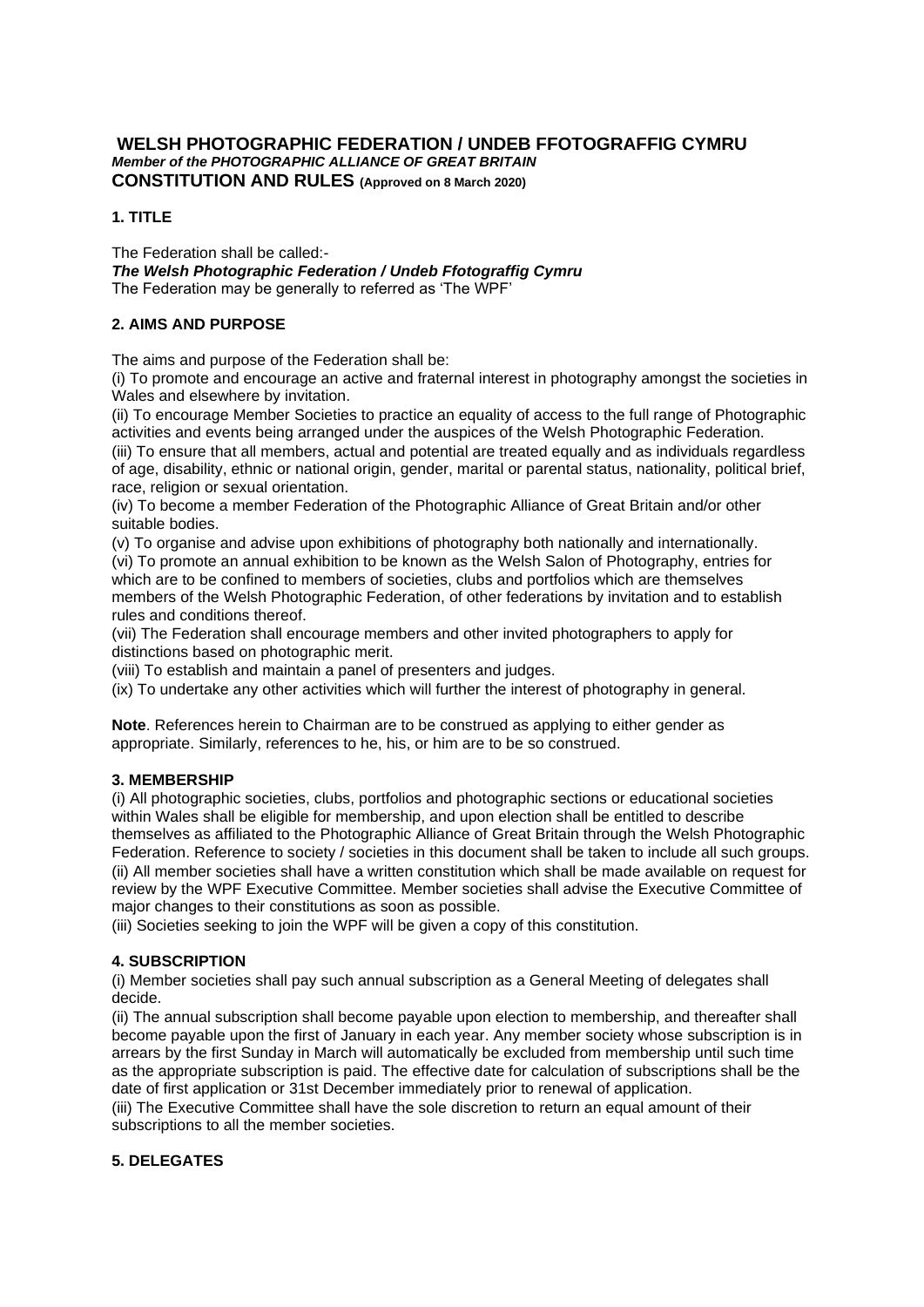# **WELSH PHOTOGRAPHIC FEDERATION / UNDEB FFOTOGRAFFIG CYMRU**  *Member of the PHOTOGRAPHIC ALLIANCE OF GREAT BRITAIN*  **CONSTITUTION AND RULES (Approved on 8 March 2020)**

# **1. TITLE**

The Federation shall be called:- *The Welsh Photographic Federation / Undeb Ffotograffig Cymru*  The Federation may be generally to referred as 'The WPF'

# **2. AIMS AND PURPOSE**

The aims and purpose of the Federation shall be:

(i) To promote and encourage an active and fraternal interest in photography amongst the societies in Wales and elsewhere by invitation.

(ii) To encourage Member Societies to practice an equality of access to the full range of Photographic activities and events being arranged under the auspices of the Welsh Photographic Federation.

(iii) To ensure that all members, actual and potential are treated equally and as individuals regardless of age, disability, ethnic or national origin, gender, marital or parental status, nationality, political brief, race, religion or sexual orientation.

(iv) To become a member Federation of the Photographic Alliance of Great Britain and/or other suitable bodies.

(v) To organise and advise upon exhibitions of photography both nationally and internationally.

(vi) To promote an annual exhibition to be known as the Welsh Salon of Photography, entries for which are to be confined to members of societies, clubs and portfolios which are themselves members of the Welsh Photographic Federation, of other federations by invitation and to establish rules and conditions thereof.

(vii) The Federation shall encourage members and other invited photographers to apply for distinctions based on photographic merit.

(viii) To establish and maintain a panel of presenters and judges.

(ix) To undertake any other activities which will further the interest of photography in general.

**Note**. References herein to Chairman are to be construed as applying to either gender as appropriate. Similarly, references to he, his, or him are to be so construed.

## **3. MEMBERSHIP**

(i) All photographic societies, clubs, portfolios and photographic sections or educational societies within Wales shall be eligible for membership, and upon election shall be entitled to describe themselves as affiliated to the Photographic Alliance of Great Britain through the Welsh Photographic Federation. Reference to society / societies in this document shall be taken to include all such groups. (ii) All member societies shall have a written constitution which shall be made available on request for review by the WPF Executive Committee. Member societies shall advise the Executive Committee of major changes to their constitutions as soon as possible.

(iii) Societies seeking to join the WPF will be given a copy of this constitution.

## **4. SUBSCRIPTION**

(i) Member societies shall pay such annual subscription as a General Meeting of delegates shall decide.

(ii) The annual subscription shall become payable upon election to membership, and thereafter shall become payable upon the first of January in each year. Any member society whose subscription is in arrears by the first Sunday in March will automatically be excluded from membership until such time as the appropriate subscription is paid. The effective date for calculation of subscriptions shall be the date of first application or 31st December immediately prior to renewal of application.

(iii) The Executive Committee shall have the sole discretion to return an equal amount of their subscriptions to all the member societies.

## **5. DELEGATES**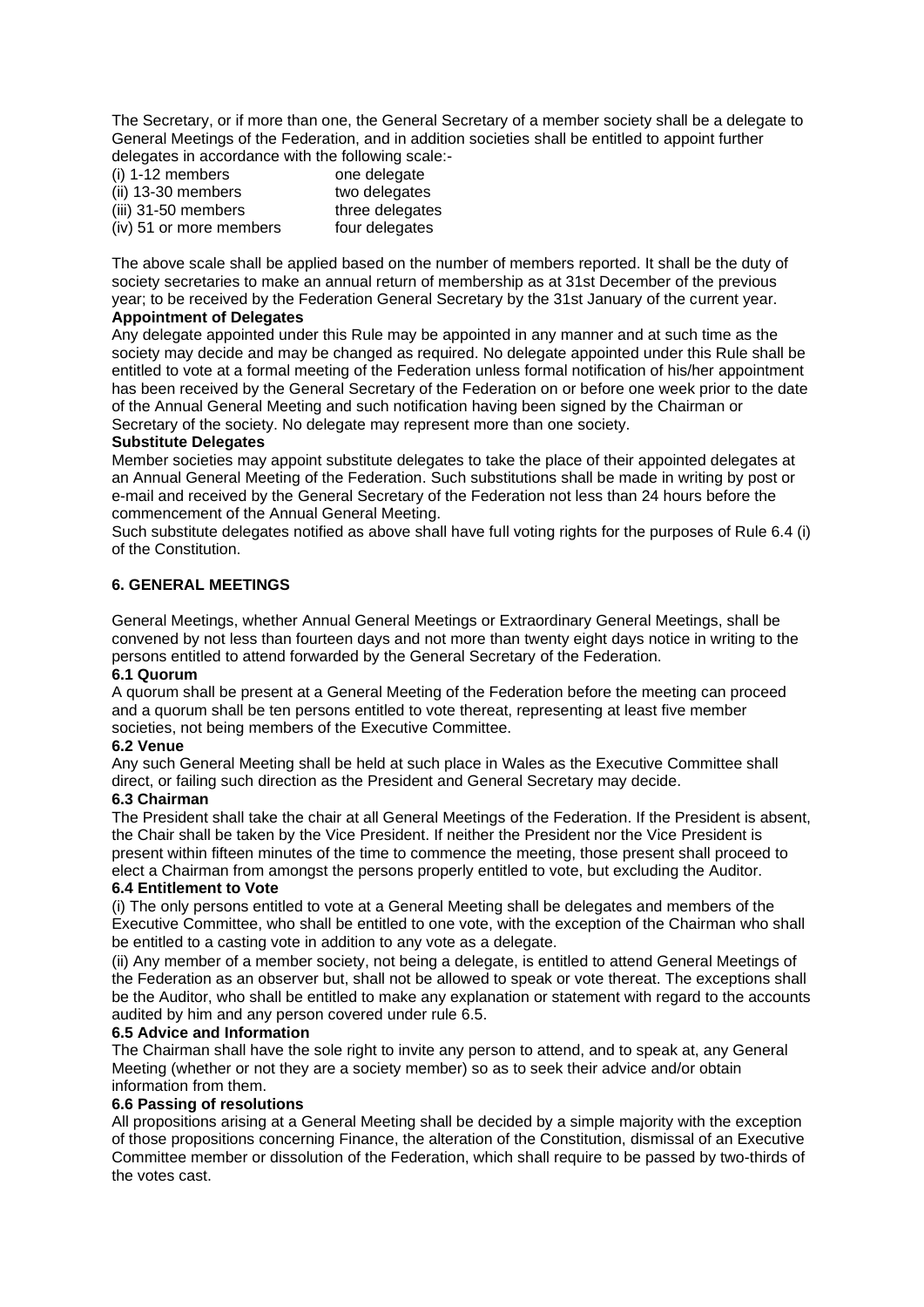The Secretary, or if more than one, the General Secretary of a member society shall be a delegate to General Meetings of the Federation, and in addition societies shall be entitled to appoint further delegates in accordance with the following scale:-

| $(i)$ 1-12 members      | one delegate    |
|-------------------------|-----------------|
| (ii) 13-30 members      | two delegates   |
| (iii) 31-50 members     | three delegates |
| (iv) 51 or more members | four delegates  |

The above scale shall be applied based on the number of members reported. It shall be the duty of society secretaries to make an annual return of membership as at 31st December of the previous year; to be received by the Federation General Secretary by the 31st January of the current year.

## **Appointment of Delegates**

Any delegate appointed under this Rule may be appointed in any manner and at such time as the society may decide and may be changed as required. No delegate appointed under this Rule shall be entitled to vote at a formal meeting of the Federation unless formal notification of his/her appointment has been received by the General Secretary of the Federation on or before one week prior to the date of the Annual General Meeting and such notification having been signed by the Chairman or Secretary of the society. No delegate may represent more than one society.

## **Substitute Delegates**

Member societies may appoint substitute delegates to take the place of their appointed delegates at an Annual General Meeting of the Federation. Such substitutions shall be made in writing by post or e-mail and received by the General Secretary of the Federation not less than 24 hours before the commencement of the Annual General Meeting.

Such substitute delegates notified as above shall have full voting rights for the purposes of Rule 6.4 (i) of the Constitution.

# **6. GENERAL MEETINGS**

General Meetings, whether Annual General Meetings or Extraordinary General Meetings, shall be convened by not less than fourteen days and not more than twenty eight days notice in writing to the persons entitled to attend forwarded by the General Secretary of the Federation.

### **6.1 Quorum**

A quorum shall be present at a General Meeting of the Federation before the meeting can proceed and a quorum shall be ten persons entitled to vote thereat, representing at least five member societies, not being members of the Executive Committee.

### **6.2 Venue**

Any such General Meeting shall be held at such place in Wales as the Executive Committee shall direct, or failing such direction as the President and General Secretary may decide.

### **6.3 Chairman**

The President shall take the chair at all General Meetings of the Federation. If the President is absent, the Chair shall be taken by the Vice President. If neither the President nor the Vice President is present within fifteen minutes of the time to commence the meeting, those present shall proceed to elect a Chairman from amongst the persons properly entitled to vote, but excluding the Auditor.

### **6.4 Entitlement to Vote**

(i) The only persons entitled to vote at a General Meeting shall be delegates and members of the Executive Committee, who shall be entitled to one vote, with the exception of the Chairman who shall be entitled to a casting vote in addition to any vote as a delegate.

(ii) Any member of a member society, not being a delegate, is entitled to attend General Meetings of the Federation as an observer but, shall not be allowed to speak or vote thereat. The exceptions shall be the Auditor, who shall be entitled to make any explanation or statement with regard to the accounts audited by him and any person covered under rule 6.5.

### **6.5 Advice and Information**

The Chairman shall have the sole right to invite any person to attend, and to speak at, any General Meeting (whether or not they are a society member) so as to seek their advice and/or obtain information from them.

### **6.6 Passing of resolutions**

All propositions arising at a General Meeting shall be decided by a simple majority with the exception of those propositions concerning Finance, the alteration of the Constitution, dismissal of an Executive Committee member or dissolution of the Federation, which shall require to be passed by two-thirds of the votes cast.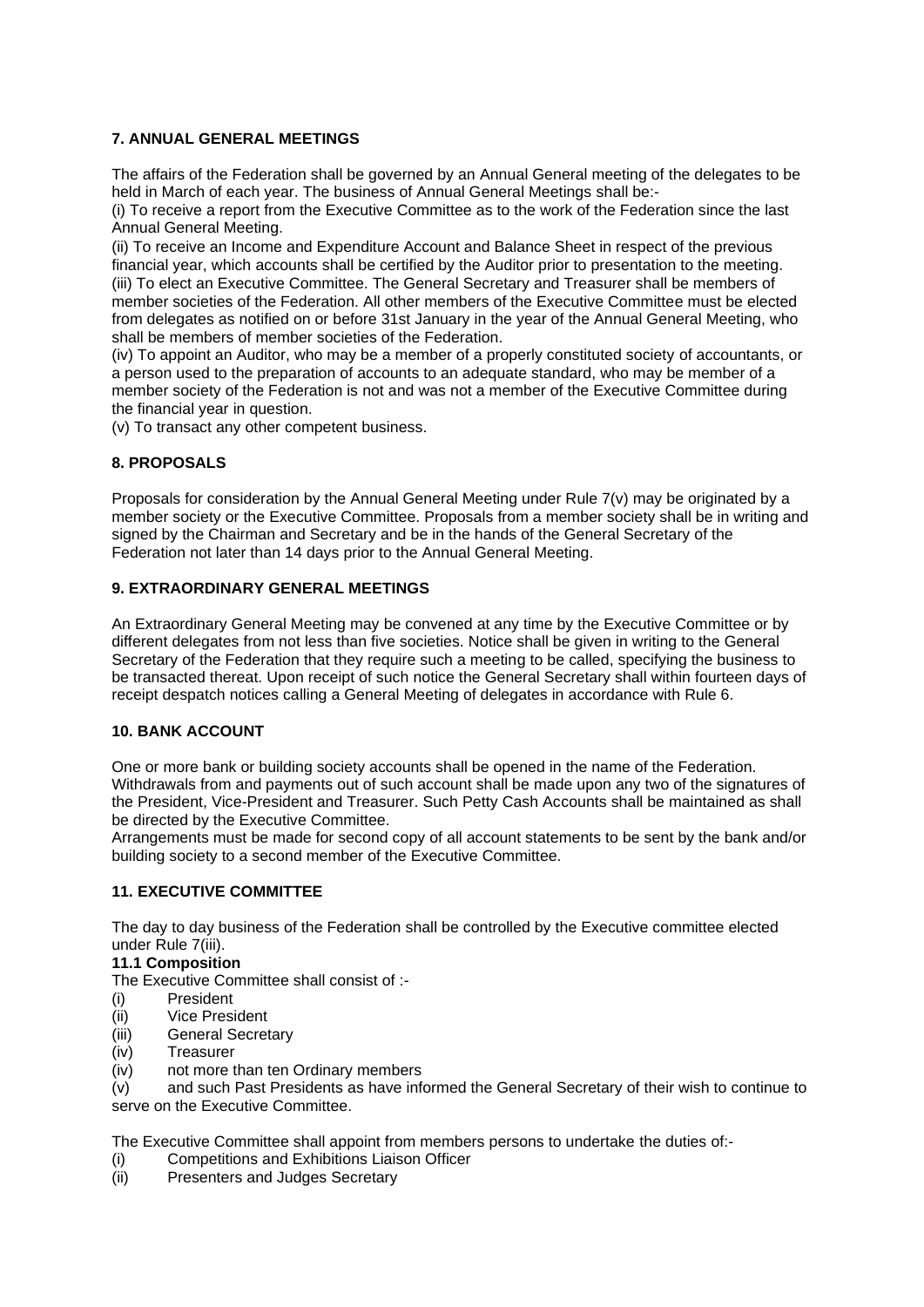# **7. ANNUAL GENERAL MEETINGS**

The affairs of the Federation shall be governed by an Annual General meeting of the delegates to be held in March of each year. The business of Annual General Meetings shall be:-

(i) To receive a report from the Executive Committee as to the work of the Federation since the last Annual General Meeting.

(ii) To receive an Income and Expenditure Account and Balance Sheet in respect of the previous financial year, which accounts shall be certified by the Auditor prior to presentation to the meeting. (iii) To elect an Executive Committee. The General Secretary and Treasurer shall be members of member societies of the Federation. All other members of the Executive Committee must be elected from delegates as notified on or before 31st January in the year of the Annual General Meeting, who shall be members of member societies of the Federation.

(iv) To appoint an Auditor, who may be a member of a properly constituted society of accountants, or a person used to the preparation of accounts to an adequate standard, who may be member of a member society of the Federation is not and was not a member of the Executive Committee during the financial year in question.

(v) To transact any other competent business.

# **8. PROPOSALS**

Proposals for consideration by the Annual General Meeting under Rule 7(v) may be originated by a member society or the Executive Committee. Proposals from a member society shall be in writing and signed by the Chairman and Secretary and be in the hands of the General Secretary of the Federation not later than 14 days prior to the Annual General Meeting.

## **9. EXTRAORDINARY GENERAL MEETINGS**

An Extraordinary General Meeting may be convened at any time by the Executive Committee or by different delegates from not less than five societies. Notice shall be given in writing to the General Secretary of the Federation that they require such a meeting to be called, specifying the business to be transacted thereat. Upon receipt of such notice the General Secretary shall within fourteen days of receipt despatch notices calling a General Meeting of delegates in accordance with Rule 6.

## **10. BANK ACCOUNT**

One or more bank or building society accounts shall be opened in the name of the Federation. Withdrawals from and payments out of such account shall be made upon any two of the signatures of the President, Vice-President and Treasurer. Such Petty Cash Accounts shall be maintained as shall be directed by the Executive Committee.

Arrangements must be made for second copy of all account statements to be sent by the bank and/or building society to a second member of the Executive Committee.

## **11. EXECUTIVE COMMITTEE**

The day to day business of the Federation shall be controlled by the Executive committee elected under Rule 7(iii).

## **11.1 Composition**

The Executive Committee shall consist of :-

- (i) President
- (ii) Vice President
- (iii) General Secretary
- (iv) Treasurer
- (iv) not more than ten Ordinary members

(v) and such Past Presidents as have informed the General Secretary of their wish to continue to serve on the Executive Committee.

The Executive Committee shall appoint from members persons to undertake the duties of:-

- (i) Competitions and Exhibitions Liaison Officer
- (ii) Presenters and Judges Secretary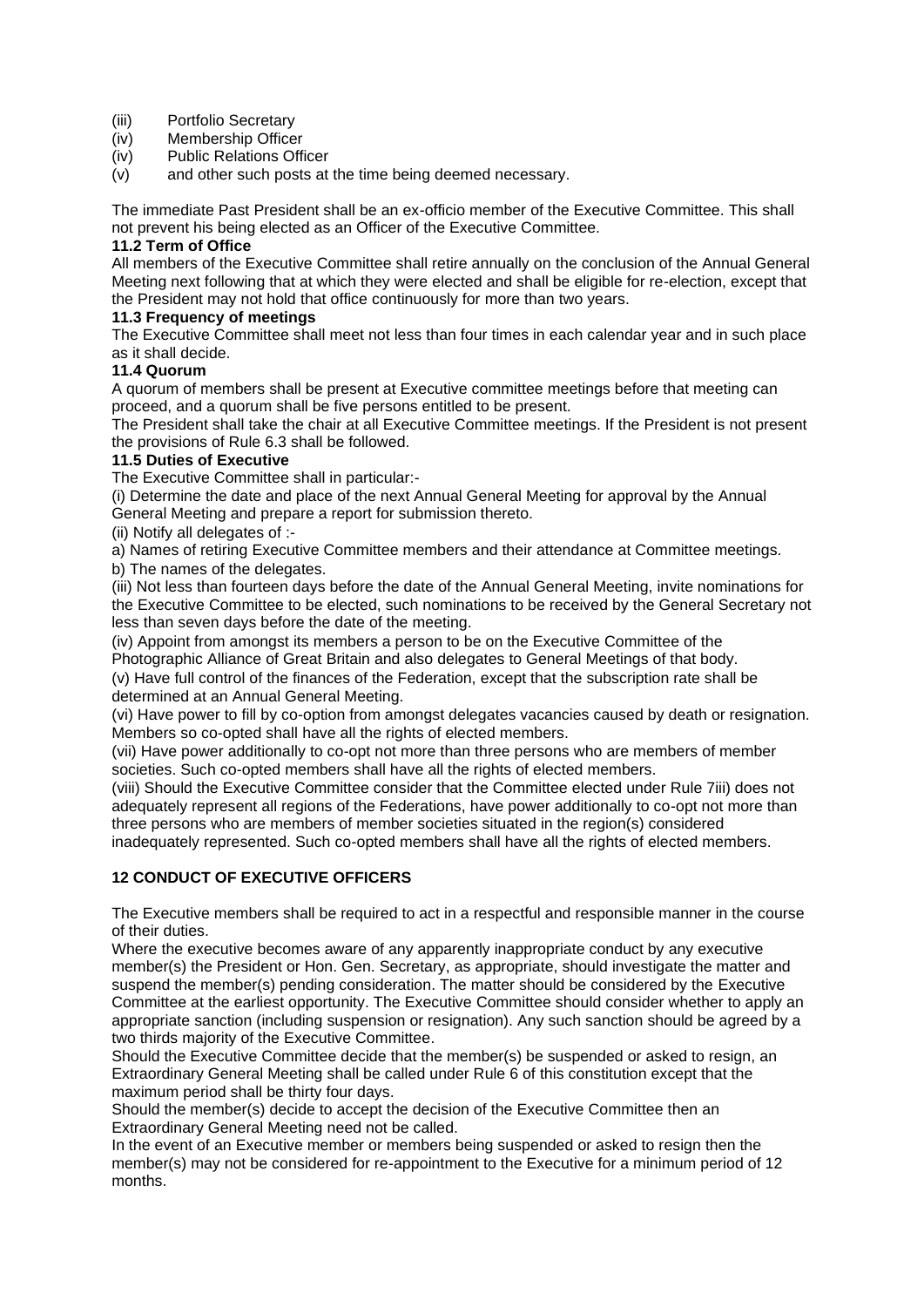- (iii) Portfolio Secretary
- (iv) Membership Officer
- (iv) Public Relations Officer
- (v) and other such posts at the time being deemed necessary.

The immediate Past President shall be an ex-officio member of the Executive Committee. This shall not prevent his being elected as an Officer of the Executive Committee.

## **11.2 Term of Office**

All members of the Executive Committee shall retire annually on the conclusion of the Annual General Meeting next following that at which they were elected and shall be eligible for re-election, except that the President may not hold that office continuously for more than two years.

## **11.3 Frequency of meetings**

The Executive Committee shall meet not less than four times in each calendar year and in such place as it shall decide.

## **11.4 Quorum**

A quorum of members shall be present at Executive committee meetings before that meeting can proceed, and a quorum shall be five persons entitled to be present.

The President shall take the chair at all Executive Committee meetings. If the President is not present the provisions of Rule 6.3 shall be followed.

## **11.5 Duties of Executive**

The Executive Committee shall in particular:-

(i) Determine the date and place of the next Annual General Meeting for approval by the Annual General Meeting and prepare a report for submission thereto.

(ii) Notify all delegates of :-

a) Names of retiring Executive Committee members and their attendance at Committee meetings. b) The names of the delegates.

(iii) Not less than fourteen days before the date of the Annual General Meeting, invite nominations for the Executive Committee to be elected, such nominations to be received by the General Secretary not less than seven days before the date of the meeting.

(iv) Appoint from amongst its members a person to be on the Executive Committee of the Photographic Alliance of Great Britain and also delegates to General Meetings of that body.

(v) Have full control of the finances of the Federation, except that the subscription rate shall be determined at an Annual General Meeting.

(vi) Have power to fill by co-option from amongst delegates vacancies caused by death or resignation. Members so co-opted shall have all the rights of elected members.

(vii) Have power additionally to co-opt not more than three persons who are members of member societies. Such co-opted members shall have all the rights of elected members.

(viii) Should the Executive Committee consider that the Committee elected under Rule 7iii) does not adequately represent all regions of the Federations, have power additionally to co-opt not more than three persons who are members of member societies situated in the region(s) considered inadequately represented. Such co-opted members shall have all the rights of elected members.

## **12 CONDUCT OF EXECUTIVE OFFICERS**

The Executive members shall be required to act in a respectful and responsible manner in the course of their duties.

Where the executive becomes aware of any apparently inappropriate conduct by any executive member(s) the President or Hon. Gen. Secretary, as appropriate, should investigate the matter and suspend the member(s) pending consideration. The matter should be considered by the Executive Committee at the earliest opportunity. The Executive Committee should consider whether to apply an appropriate sanction (including suspension or resignation). Any such sanction should be agreed by a two thirds majority of the Executive Committee.

Should the Executive Committee decide that the member(s) be suspended or asked to resign, an Extraordinary General Meeting shall be called under Rule 6 of this constitution except that the maximum period shall be thirty four days.

Should the member(s) decide to accept the decision of the Executive Committee then an Extraordinary General Meeting need not be called.

In the event of an Executive member or members being suspended or asked to resign then the member(s) may not be considered for re-appointment to the Executive for a minimum period of 12 months.